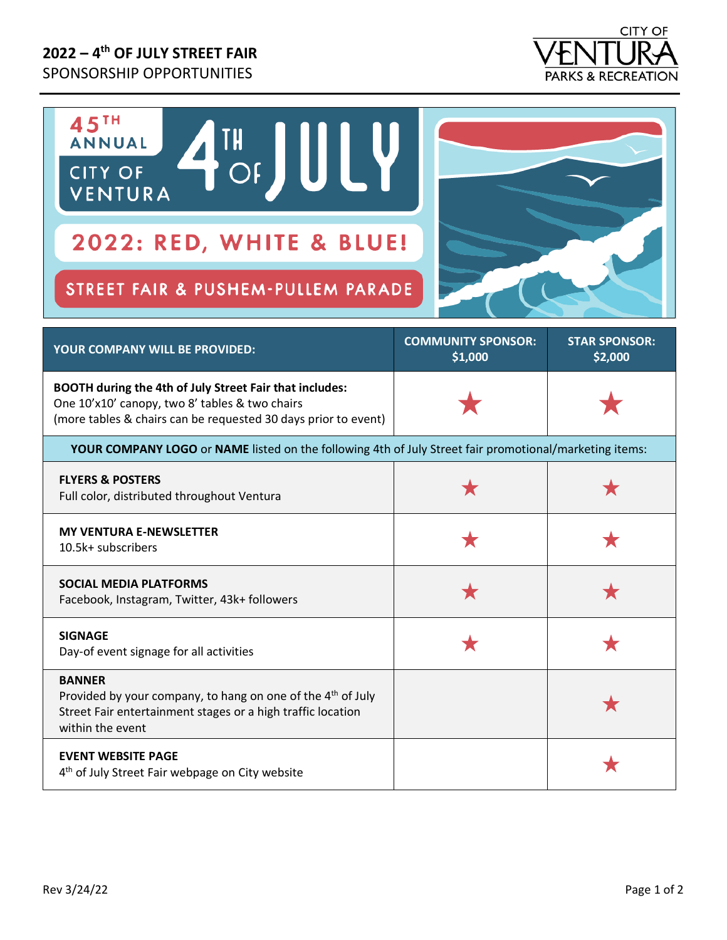## **2022 – 4 th OF JULY STREET FAIR** SPONSORSHIP OPPORTUNITIES



| 45TH<br>TH JULY<br><b>ANNUAL</b><br><b>CITY OF</b><br>VENTURA<br>2022: RED, WHITE & BLUE!                                                                                   |                                      |                                 |
|-----------------------------------------------------------------------------------------------------------------------------------------------------------------------------|--------------------------------------|---------------------------------|
| STREET FAIR & PUSHEM-PULLEM PARADE                                                                                                                                          |                                      |                                 |
| YOUR COMPANY WILL BE PROVIDED:                                                                                                                                              | <b>COMMUNITY SPONSOR:</b><br>\$1,000 | <b>STAR SPONSOR:</b><br>\$2,000 |
| BOOTH during the 4th of July Street Fair that includes:<br>One 10'x10' canopy, two 8' tables & two chairs<br>(more tables & chairs can be requested 30 days prior to event) |                                      |                                 |
| YOUR COMPANY LOGO or NAME listed on the following 4th of July Street fair promotional/marketing items:                                                                      |                                      |                                 |
| <b>FLYERS &amp; POSTERS</b><br>Full color, distributed throughout Ventura                                                                                                   |                                      |                                 |
| <b>MY VENTURA E-NEWSLETTER</b><br>10.5k+ subscribers                                                                                                                        | ★                                    | ★                               |
| <b>SOCIAL MEDIA PLATFORMS</b><br>Facebook, Instagram, Twitter, 43k+ followers                                                                                               | ★                                    | ★                               |
| <b>SIGNAGE</b><br>Day-of event signage for all activities                                                                                                                   |                                      |                                 |
| <b>BANNER</b>                                                                                                                                                               |                                      |                                 |

| Provided by your company, to hang on one of the 4 <sup>th</sup> of July<br>Street Fair entertainment stages or a high traffic location<br>within the event |  |
|------------------------------------------------------------------------------------------------------------------------------------------------------------|--|
| <b>EVENT WEBSITE PAGE</b><br>4 <sup>th</sup> of July Street Fair webpage on City website                                                                   |  |